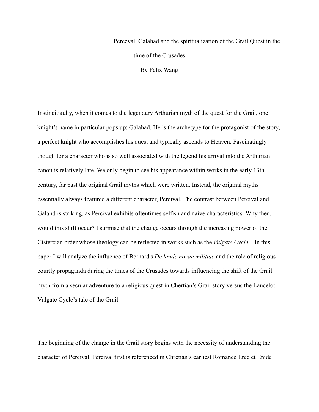## Perceval, Galahad and the spiritualization of the Grail Quest in the time of the Crusades By Felix Wang

Instincitiaully, when it comes to the legendary Arthurian myth of the quest for the Grail, one knight's name in particular pops up: Galahad. He is the archetype for the protagonist of the story, a perfect knight who accomplishes his quest and typically ascends to Heaven. Fascinatingly though for a character who is so well associated with the legend his arrival into the Arthurian canon is relatively late. We only begin to see his appearance within works in the early 13th century, far past the original Grail myths which were written. Instead, the original myths essentially always featured a different character, Percival. The contrast between Percival and Galahd is striking, as Percival exhibits oftentimes selfish and naive characteristics. Why then, would this shift occur? I surmise that the change occurs through the increasing power of the Cistercian order whose theology can be reflected in works such as the *Vulgate Cycle*. In this paper I will analyze the influence of Bernard's *De laude novae militiae* and the role of religious courtly propaganda during the times of the Crusades towards influencing the shift of the Grail myth from a secular adventure to a religious quest in Chertian's Grail story versus the Lancelot Vulgate Cycle's tale of the Grail.

The beginning of the change in the Grail story begins with the necessity of understanding the character of Percival. Percival first is referenced in Chretian's earliest Romance Erec et Enide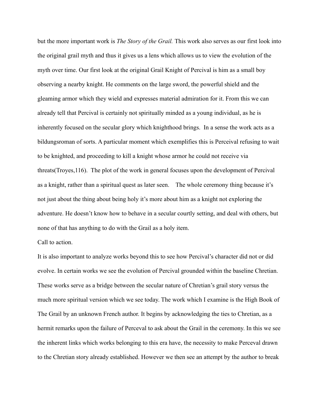but the more important work is *The Story of the Grail.* This work also serves as our first look into the original grail myth and thus it gives us a lens which allows us to view the evolution of the myth over time. Our first look at the original Grail Knight of Percival is him as a small boy observing a nearby knight. He comments on the large sword, the powerful shield and the gleaming armor which they wield and expresses material admiration for it. From this we can already tell that Percival is certainly not spiritually minded as a young individual, as he is inherently focused on the secular glory which knighthood brings. In a sense the work acts as a bildungsroman of sorts. A particular moment which exemplifies this is Perceival refusing to wait to be knighted, and proceeding to kill a knight whose armor he could not receive via threats(Troyes,116). The plot of the work in general focuses upon the development of Percival as a knight, rather than a spiritual quest as later seen. The whole ceremony thing because it's not just about the thing about being holy it's more about him as a knight not exploring the adventure. He doesn't know how to behave in a secular courtly setting, and deal with others, but none of that has anything to do with the Grail as a holy item.

## Call to action.

It is also important to analyze works beyond this to see how Percival's character did not or did evolve. In certain works we see the evolution of Percival grounded within the baseline Chretian. These works serve as a bridge between the secular nature of Chretian's grail story versus the much more spiritual version which we see today. The work which I examine is the High Book of The Grail by an unknown French author. It begins by acknowledging the ties to Chretian, as a hermit remarks upon the failure of Perceval to ask about the Grail in the ceremony. In this we see the inherent links which works belonging to this era have, the necessity to make Perceval drawn to the Chretian story already established. However we then see an attempt by the author to break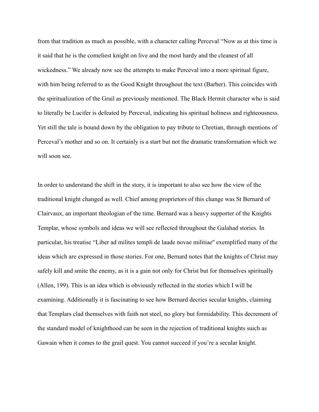from that tradition as much as possible, with a character calling Perceval "Now as at this time is it said that he is the comeliest knight on live and the most hardy and the cleanest of all wickedness." We already now see the attempts to make Perceval into a more spiritual figure, with him being referred to as the Good Knight throughout the text (Barber). This coincides with the spiritualization of the Grail as previously mentioned. The Black Hermit character who is said to literally be Lucifer is defeated by Perceval, indicating his spiritual holiness and righteousness. Yet still the tale is bound down by the obligation to pay tribute to Chretian, through mentions of Perceval's mother and so on. It certainly is a start but not the dramatic transformation which we will soon see.

In order to understand the shift in the story, it is important to also see how the view of the traditional knight changed as well. Chief among proprietors of this change was St Bernard of Clairvaux, an important theologian of the time. Bernard was a heavy supporter of the Knights Templar, whose symbols and ideas we will see reflected throughout the Galahad stories. In particular, his treatise "Liber ad milites templi de laude novae militiae'' exemplified many of the ideas which are expressed in those stories. For one, Bernard notes that the knights of Christ may safely kill and smite the enemy, as it is a gain not only for Christ but for themselves spiritually (Allen, 199). This is an idea which is obviously reflected in the stories which I will be examining. Additionally it is fascinating to see how Bernard decries secular knights, claiming that Templars clad themselves with faith not steel, no glory but formidability. This decrement of the standard model of knighthood can be seen in the rejection of traditional knights suich as Gawain when it comes to the grail quest. You cannot succeed if you're a secular knight.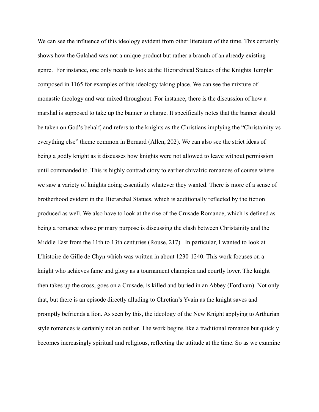We can see the influence of this ideology evident from other literature of the time. This certainly shows how the Galahad was not a unique product but rather a branch of an already existing genre. For instance, one only needs to look at the Hierarchical Statues of the Knights Templar composed in 1165 for examples of this ideology taking place. We can see the mixture of monastic theology and war mixed throughout. For instance, there is the discussion of how a marshal is supposed to take up the banner to charge. It specifically notes that the banner should be taken on God's behalf, and refers to the knights as the Christians implying the "Christainity vs everything else" theme common in Bernard (Allen, 202). We can also see the strict ideas of being a godly knight as it discusses how knights were not allowed to leave without permission until commanded to. This is highly contradictory to earlier chivalric romances of course where we saw a variety of knights doing essentially whatever they wanted. There is more of a sense of brotherhood evident in the Hierarchal Statues, which is additionally reflected by the fiction produced as well. We also have to look at the rise of the Crusade Romance, which is defined as being a romance whose primary purpose is discussing the clash between Christainity and the Middle East from the 11th to 13th centuries (Rouse, 217). In particular, I wanted to look at L'histoire de Gille de Chyn which was written in about 1230-1240. This work focuses on a knight who achieves fame and glory as a tournament champion and courtly lover. The knight then takes up the cross, goes on a Crusade, is killed and buried in an Abbey (Fordham). Not only that, but there is an episode directly alluding to Chretian's Yvain as the knight saves and promptly befriends a lion. As seen by this, the ideology of the New Knight applying to Arthurian style romances is certainly not an outlier. The work begins like a traditional romance but quickly becomes increasingly spiritual and religious, reflecting the attitude at the time. So as we examine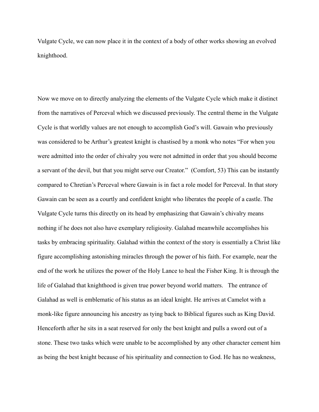Vulgate Cycle, we can now place it in the context of a body of other works showing an evolved knighthood.

Now we move on to directly analyzing the elements of the Vulgate Cycle which make it distinct from the narratives of Perceval which we discussed previously. The central theme in the Vulgate Cycle is that worldly values are not enough to accomplish God's will. Gawain who previously was considered to be Arthur's greatest knight is chastised by a monk who notes "For when you were admitted into the order of chivalry you were not admitted in order that you should become a servant of the devil, but that you might serve our Creator." (Comfort, 53) This can be instantly compared to Chretian's Perceval where Gawain is in fact a role model for Perceval. In that story Gawain can be seen as a courtly and confident knight who liberates the people of a castle. The Vulgate Cycle turns this directly on its head by emphasizing that Gawain's chivalry means nothing if he does not also have exemplary religiosity. Galahad meanwhile accomplishes his tasks by embracing spirituality. Galahad within the context of the story is essentially a Christ like figure accomplishing astonishing miracles through the power of his faith. For example, near the end of the work he utilizes the power of the Holy Lance to heal the Fisher King. It is through the life of Galahad that knighthood is given true power beyond world matters. The entrance of Galahad as well is emblematic of his status as an ideal knight. He arrives at Camelot with a monk-like figure announcing his ancestry as tying back to Biblical figures such as King David. Henceforth after he sits in a seat reserved for only the best knight and pulls a sword out of a stone. These two tasks which were unable to be accomplished by any other character cement him as being the best knight because of his spirituality and connection to God. He has no weakness,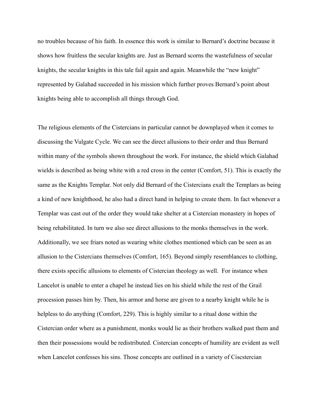no troubles because of his faith. In essence this work is similar to Bernard's doctrine because it shows how fruitless the secular knights are. Just as Bernard scorns the wastefulness of secular knights, the secular knights in this tale fail again and again. Meanwhile the "new knight" represented by Galahad succeeded in his mission which further proves Bernard's point about knights being able to accomplish all things through God.

The religious elements of the Cistercians in particular cannot be downplayed when it comes to discussing the Vulgate Cycle. We can see the direct allusions to their order and thus Bernard within many of the symbols shown throughout the work. For instance, the shield which Galahad wields is described as being white with a red cross in the center (Comfort, 51). This is exactly the same as the Knights Templar. Not only did Bernard of the Cistercians exalt the Templars as being a kind of new knighthood, he also had a direct hand in helping to create them. In fact whenever a Templar was cast out of the order they would take shelter at a Cistercian monastery in hopes of being rehabilitated. In turn we also see direct allusions to the monks themselves in the work. Additionally, we see friars noted as wearing white clothes mentioned which can be seen as an allusion to the Cistercians themselves (Comfort, 165). Beyond simply resemblances to clothing, there exists specific allusions to elements of Cistercian theology as well. For instance when Lancelot is unable to enter a chapel he instead lies on his shield while the rest of the Grail procession passes him by. Then, his armor and horse are given to a nearby knight while he is helpless to do anything (Comfort, 229). This is highly similar to a ritual done within the Cistercian order where as a punishment, monks would lie as their brothers walked past them and then their possessions would be redistributed. Cistercian concepts of humility are evident as well when Lancelot confesses his sins. Those concepts are outlined in a variety of Ciscstercian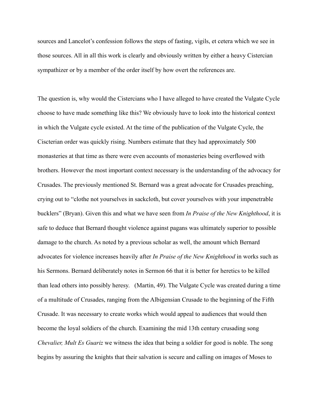sources and Lancelot's confession follows the steps of fasting, vigils, et cetera which we see in those sources. All in all this work is clearly and obviously written by either a heavy Cistercian sympathizer or by a member of the order itself by how overt the references are.

The question is, why would the Cistercians who I have alleged to have created the Vulgate Cycle choose to have made something like this? We obviously have to look into the historical context in which the Vulgate cycle existed. At the time of the publication of the Vulgate Cycle, the Ciscterian order was quickly rising. Numbers estimate that they had approximately 500 monasteries at that time as there were even accounts of monasteries being overflowed with brothers. However the most important context necessary is the understanding of the advocacy for Crusades. The previously mentioned St. Bernard was a great advocate for Crusades preaching, crying out to "clothe not yourselves in sackcloth, but cover yourselves with your impenetrable bucklers" (Bryan). Given this and what we have seen from *In Praise of the New Knighthood*, it is safe to deduce that Bernard thought violence against pagans was ultimately superior to possible damage to the church. As noted by a previous scholar as well, the amount which Bernard advocates for violence increases heavily after *In Praise of the New Knighthood* in works such as his Sermons. Bernard deliberately notes in Sermon 66 that it is better for heretics to be killed than lead others into possibly heresy. (Martin, 49). The Vulgate Cycle was created during a time of a multitude of Crusades, ranging from the Albigensian Crusade to the beginning of the Fifth Crusade. It was necessary to create works which would appeal to audiences that would then become the loyal soldiers of the church. Examining the mid 13th century crusading song *Chevalier, Mult Es Guariz* we witness the idea that being a soldier for good is noble. The song begins by assuring the knights that their salvation is secure and calling on images of Moses to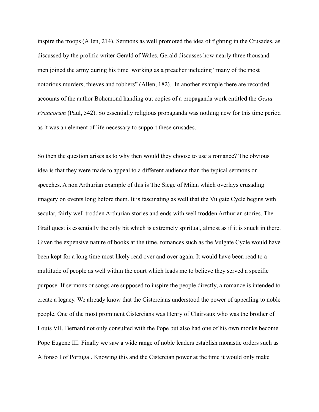inspire the troops (Allen, 214). Sermons as well promoted the idea of fighting in the Crusades, as discussed by the prolific writer Gerald of Wales. Gerald discusses how nearly three thousand men joined the army during his time working as a preacher including "many of the most notorious murders, thieves and robbers" (Allen, 182). In another example there are recorded accounts of the author Bohemond handing out copies of a propaganda work entitled the *Gesta Francorum* (Paul, 542). So essentially religious propaganda was nothing new for this time period as it was an element of life necessary to support these crusades.

So then the question arises as to why then would they choose to use a romance? The obvious idea is that they were made to appeal to a different audience than the typical sermons or speeches. A non Arthurian example of this is The Siege of Milan which overlays crusading imagery on events long before them. It is fascinating as well that the Vulgate Cycle begins with secular, fairly well trodden Arthurian stories and ends with well trodden Arthurian stories. The Grail quest is essentially the only bit which is extremely spiritual, almost as if it is snuck in there. Given the expensive nature of books at the time, romances such as the Vulgate Cycle would have been kept for a long time most likely read over and over again. It would have been read to a multitude of people as well within the court which leads me to believe they served a specific purpose. If sermons or songs are supposed to inspire the people directly, a romance is intended to create a legacy. We already know that the Cistercians understood the power of appealing to noble people. One of the most prominent Cistercians was Henry of Clairvaux who was the brother of Louis VII. Bernard not only consulted with the Pope but also had one of his own monks become Pope Eugene III. Finally we saw a wide range of noble leaders establish monastic orders such as Alfonso I of Portugal. Knowing this and the Cistercian power at the time it would only make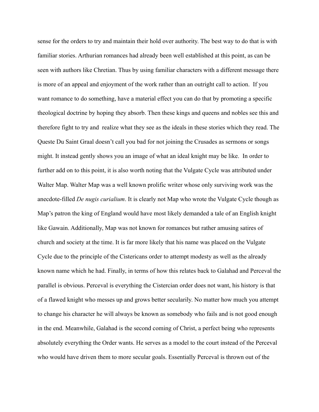sense for the orders to try and maintain their hold over authority. The best way to do that is with familiar stories. Arthurian romances had already been well established at this point, as can be seen with authors like Chretian. Thus by using familiar characters with a different message there is more of an appeal and enjoyment of the work rather than an outright call to action. If you want romance to do something, have a material effect you can do that by promoting a specific theological doctrine by hoping they absorb. Then these kings and queens and nobles see this and therefore fight to try and realize what they see as the ideals in these stories which they read. The Queste Du Saint Graal doesn't call you bad for not joining the Crusades as sermons or songs might. It instead gently shows you an image of what an ideal knight may be like. In order to further add on to this point, it is also worth noting that the Vulgate Cycle was attributed under Walter Map. Walter Map was a well known prolific writer whose only surviving work was the anecdote-filled *De nugis curialium*. It is clearly not Map who wrote the Vulgate Cycle though as Map's patron the king of England would have most likely demanded a tale of an English knight like Gawain. Additionally, Map was not known for romances but rather amusing satires of church and society at the time. It is far more likely that his name was placed on the Vulgate Cycle due to the principle of the Cistericans order to attempt modesty as well as the already known name which he had. Finally, in terms of how this relates back to Galahad and Perceval the parallel is obvious. Perceval is everything the Cistercian order does not want, his history is that of a flawed knight who messes up and grows better secularily. No matter how much you attempt to change his character he will always be known as somebody who fails and is not good enough in the end. Meanwhile, Galahad is the second coming of Christ, a perfect being who represents absolutely everything the Order wants. He serves as a model to the court instead of the Perceval who would have driven them to more secular goals. Essentially Perceval is thrown out of the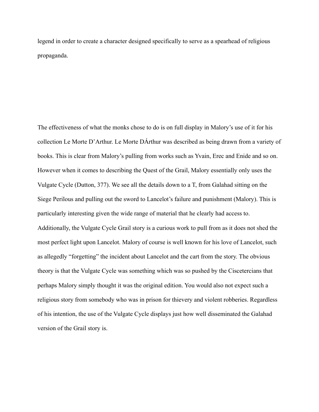legend in order to create a character designed specifically to serve as a spearhead of religious propaganda.

The effectiveness of what the monks chose to do is on full display in Malory's use of it for his collection Le Morte D'Arthur. Le Morte DÁrthur was described as being drawn from a variety of books. This is clear from Malory's pulling from works such as Yvain, Erec and Enide and so on. However when it comes to describing the Quest of the Grail, Malory essentially only uses the Vulgate Cycle (Dutton, 377). We see all the details down to a T, from Galahad sitting on the Siege Perilous and pulling out the sword to Lancelot's failure and punishment (Malory). This is particularly interesting given the wide range of material that he clearly had access to. Additionally, the Vulgate Cycle Grail story is a curious work to pull from as it does not shed the most perfect light upon Lancelot. Malory of course is well known for his love of Lancelot, such as allegedly "forgetting" the incident about Lancelot and the cart from the story. The obvious theory is that the Vulgate Cycle was something which was so pushed by the Ciscetercians that perhaps Malory simply thought it was the original edition. You would also not expect such a religious story from somebody who was in prison for thievery and violent robberies. Regardless of his intention, the use of the Vulgate Cycle displays just how well disseminated the Galahad version of the Grail story is.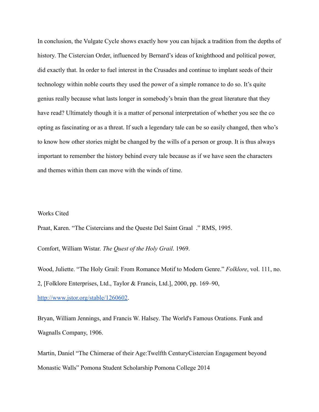In conclusion, the Vulgate Cycle shows exactly how you can hijack a tradition from the depths of history. The Cistercian Order, influenced by Bernard's ideas of knighthood and political power, did exactly that. In order to fuel interest in the Crusades and continue to implant seeds of their technology within noble courts they used the power of a simple romance to do so. It's quite genius really because what lasts longer in somebody's brain than the great literature that they have read? Ultimately though it is a matter of personal interpretation of whether you see the co opting as fascinating or as a threat. If such a legendary tale can be so easily changed, then who's to know how other stories might be changed by the wills of a person or group. It is thus always important to remember the history behind every tale because as if we have seen the characters and themes within them can move with the winds of time.

## Works Cited

Praat, Karen. "The Cistercians and the Queste Del Saint Graal ." RMS, 1995.

Comfort, William Wistar. *The Quest of the Holy Grail*. 1969.

Wood, Juliette. "The Holy Grail: From Romance Motif to Modern Genre." *Folklore*, vol. 111, no. 2, [Folklore Enterprises, Ltd., Taylor & Francis, Ltd.], 2000, pp. 169–90,

[http://www.jstor.org/stable/1260602.](http://www.jstor.org/stable/1260602)

Bryan, William Jennings, and Francis W. Halsey. The World's Famous Orations. Funk and Wagnalls Company, 1906.

Martin, Daniel "The Chimerae of their Age:Twelfth CenturyCistercian Engagement beyond Monastic Walls" Pomona Student Scholarship Pomona College 2014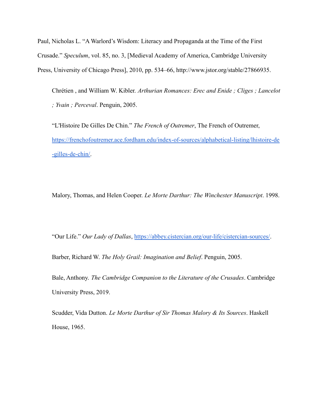Paul, Nicholas L. "A Warlord's Wisdom: Literacy and Propaganda at the Time of the First Crusade." *Speculum*, vol. 85, no. 3, [Medieval Academy of America, Cambridge University Press, University of Chicago Press], 2010, pp. 534–66, http://www.jstor.org/stable/27866935.

Chrétien , and William W. Kibler. *Arthurian Romances: Erec and Enide ; Cliges ; Lancelot ; Yvain ; Perceval*. Penguin, 2005.

"L'Histoire De Gilles De Chin." *The French of Outremer*, The French of Outremer, [https://frenchofoutremer.ace.fordham.edu/index-of-sources/alphabetical-listing/lhistoire-de](https://frenchofoutremer.ace.fordham.edu/index-of-sources/alphabetical-listing/lhistoire-de-gilles-de-chin/) [-gilles-de-chin/](https://frenchofoutremer.ace.fordham.edu/index-of-sources/alphabetical-listing/lhistoire-de-gilles-de-chin/).

Malory, Thomas, and Helen Cooper. *Le Morte Darthur: The Winchester Manuscript*. 1998.

"Our Life." *Our Lady of Dallas*, <https://abbey.cistercian.org/our-life/cistercian-sources/>.

Barber, Richard W. *The Holy Grail: Imagination and Belief*. Penguin, 2005.

Bale, Anthony. *The Cambridge Companion to the Literature of the Crusades*. Cambridge University Press, 2019.

Scudder, Vida Dutton. *Le Morte Darthur of Sir Thomas Malory & Its Sources*. Haskell House, 1965.